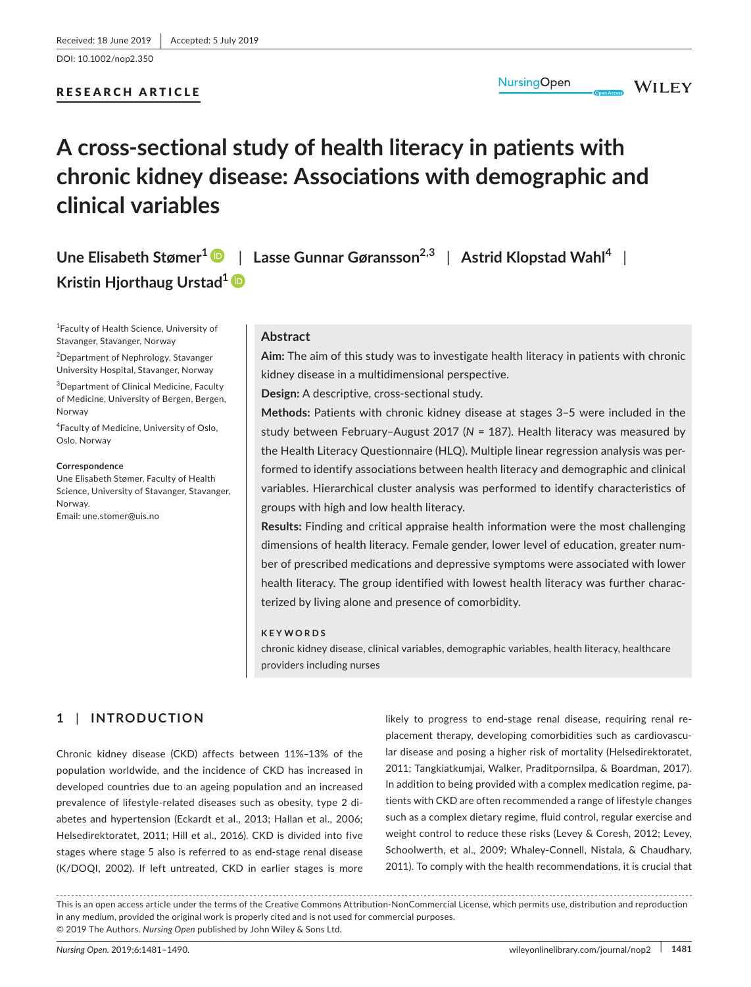DOI: 10.1002/nop2.350

# RESEARCH ARTICLE

## **NursingOpen**

**WILEY** 

# **A cross‐sectional study of health literacy in patients with chronic kidney disease: Associations with demographic and clinical variables**

**Une Elisabeth Stømer<sup>1</sup>** | **Lasse Gunnar Gøransson2,3** | **Astrid Klopstad Wahl<sup>4</sup>** | **Kristin Hjorthaug Urstad[1](https://orcid.org/0000-0002-8830-4564)**

1 Faculty of Health Science, University of Stavanger, Stavanger, Norway

<sup>2</sup>Department of Nephrology, Stavanger University Hospital, Stavanger, Norway

3 Department of Clinical Medicine, Faculty of Medicine, University of Bergen, Bergen, Norway

4 Faculty of Medicine, University of Oslo, Oslo, Norway

#### **Correspondence**

Une Elisabeth Stømer, Faculty of Health Science, University of Stavanger, Stavanger, Norway. Email: [une.stomer@uis.no](mailto:une.stomer@uis.no)

## **Abstract**

**Aim:** The aim of this study was to investigate health literacy in patients with chronic kidney disease in a multidimensional perspective.

**Design:** A descriptive, cross‐sectional study.

**Methods:** Patients with chronic kidney disease at stages 3–5 were included in the study between February–August 2017 (*N* = 187). Health literacy was measured by the Health Literacy Questionnaire (HLQ). Multiple linear regression analysis was per‐ formed to identify associations between health literacy and demographic and clinical variables. Hierarchical cluster analysis was performed to identify characteristics of groups with high and low health literacy.

**Results:** Finding and critical appraise health information were the most challenging dimensions of health literacy. Female gender, lower level of education, greater num‐ ber of prescribed medications and depressive symptoms were associated with lower health literacy. The group identified with lowest health literacy was further charac‐ terized by living alone and presence of comorbidity.

#### **KEYWORDS**

chronic kidney disease, clinical variables, demographic variables, health literacy, healthcare providers including nurses

# **1** | **INTRODUCTION**

Chronic kidney disease (CKD) affects between 11%–13% of the population worldwide, and the incidence of CKD has increased in developed countries due to an ageing population and an increased prevalence of lifestyle-related diseases such as obesity, type 2 diabetes and hypertension (Eckardt et al., 2013; Hallan et al., 2006; Helsedirektoratet, 2011; Hill et al., 2016). CKD is divided into five stages where stage 5 also is referred to as end‐stage renal disease (K/DOQI, 2002). If left untreated, CKD in earlier stages is more

likely to progress to end‐stage renal disease, requiring renal re‐ placement therapy, developing comorbidities such as cardiovascu‐ lar disease and posing a higher risk of mortality (Helsedirektoratet, 2011; Tangkiatkumjai, Walker, Praditpornsilpa, & Boardman, 2017). In addition to being provided with a complex medication regime, pa‐ tients with CKD are often recommended a range of lifestyle changes such as a complex dietary regime, fluid control, regular exercise and weight control to reduce these risks (Levey & Coresh, 2012; Levey, Schoolwerth, et al., 2009; Whaley‐Connell, Nistala, & Chaudhary, 2011). To comply with the health recommendations, it is crucial that

This is an open access article under the terms of the Creative Commons [Attribution‐NonCommercial](http://creativecommons.org/licenses/by-nc/4.0/) License, which permits use, distribution and reproduction in any medium, provided the original work is properly cited and is not used for commercial purposes. © 2019 The Authors. *Nursing Open* published by John Wiley & Sons Ltd.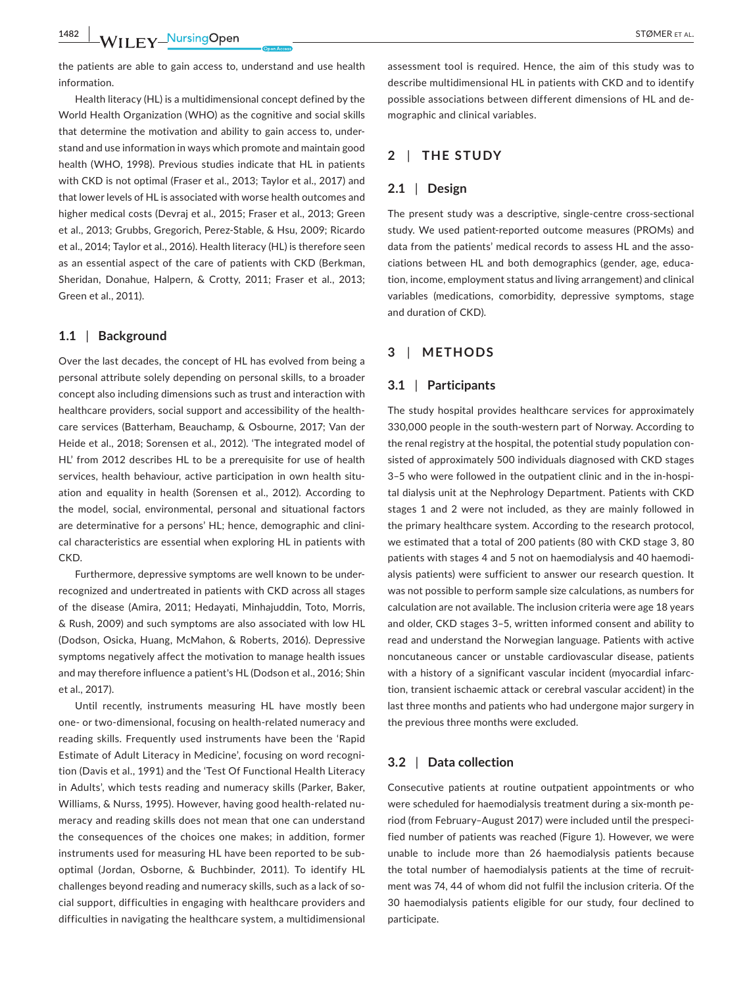the patients are able to gain access to, understand and use health information.

Health literacy (HL) is a multidimensional concept defined by the World Health Organization (WHO) as the cognitive and social skills that determine the motivation and ability to gain access to, under‐ stand and use information in ways which promote and maintain good health (WHO, 1998). Previous studies indicate that HL in patients with CKD is not optimal (Fraser et al., 2013; Taylor et al., 2017) and that lower levels of HL is associated with worse health outcomes and higher medical costs (Devraj et al., 2015; Fraser et al., 2013; Green et al., 2013; Grubbs, Gregorich, Perez‐Stable, & Hsu, 2009; Ricardo et al., 2014; Taylor et al., 2016). Health literacy (HL) is therefore seen as an essential aspect of the care of patients with CKD (Berkman, Sheridan, Donahue, Halpern, & Crotty, 2011; Fraser et al., 2013; Green et al., 2011).

# **1.1** | **Background**

Over the last decades, the concept of HL has evolved from being a personal attribute solely depending on personal skills, to a broader concept also including dimensions such as trust and interaction with healthcare providers, social support and accessibility of the health‐ care services (Batterham, Beauchamp, & Osbourne, 2017; Van der Heide et al., 2018; Sorensen et al., 2012). 'The integrated model of HL' from 2012 describes HL to be a prerequisite for use of health services, health behaviour, active participation in own health situation and equality in health (Sorensen et al., 2012). According to the model, social, environmental, personal and situational factors are determinative for a persons' HL; hence, demographic and clini‐ cal characteristics are essential when exploring HL in patients with CKD.

Furthermore, depressive symptoms are well known to be under‐ recognized and undertreated in patients with CKD across all stages of the disease (Amira, 2011; Hedayati, Minhajuddin, Toto, Morris, & Rush, 2009) and such symptoms are also associated with low HL (Dodson, Osicka, Huang, McMahon, & Roberts, 2016). Depressive symptoms negatively affect the motivation to manage health issues and may therefore influence a patient's HL (Dodson et al., 2016; Shin et al., 2017).

Until recently, instruments measuring HL have mostly been one‐ or two‐dimensional, focusing on health‐related numeracy and reading skills. Frequently used instruments have been the 'Rapid Estimate of Adult Literacy in Medicine', focusing on word recogni‐ tion (Davis et al., 1991) and the 'Test Of Functional Health Literacy in Adults', which tests reading and numeracy skills (Parker, Baker, Williams, & Nurss, 1995). However, having good health-related numeracy and reading skills does not mean that one can understand the consequences of the choices one makes; in addition, former instruments used for measuring HL have been reported to be sub‐ optimal (Jordan, Osborne, & Buchbinder, 2011). To identify HL challenges beyond reading and numeracy skills, such as a lack of social support, difficulties in engaging with healthcare providers and difficulties in navigating the healthcare system, a multidimensional

assessment tool is required. Hence, the aim of this study was to describe multidimensional HL in patients with CKD and to identify possible associations between different dimensions of HL and de‐ mographic and clinical variables.

# **2** | **THE STUDY**

## **2.1** | **Design**

The present study was a descriptive, single‐centre cross‐sectional study. We used patient‐reported outcome measures (PROMs) and data from the patients' medical records to assess HL and the associations between HL and both demographics (gender, age, educa‐ tion, income, employment status and living arrangement) and clinical variables (medications, comorbidity, depressive symptoms, stage and duration of CKD).

## **3** | **METHODS**

## **3.1** | **Participants**

The study hospital provides healthcare services for approximately 330,000 people in the south‐western part of Norway. According to the renal registry at the hospital, the potential study population con‐ sisted of approximately 500 individuals diagnosed with CKD stages 3–5 who were followed in the outpatient clinic and in the in‐hospi‐ tal dialysis unit at the Nephrology Department. Patients with CKD stages 1 and 2 were not included, as they are mainly followed in the primary healthcare system. According to the research protocol, we estimated that a total of 200 patients (80 with CKD stage 3, 80 patients with stages 4 and 5 not on haemodialysis and 40 haemodi‐ alysis patients) were sufficient to answer our research question. It was not possible to perform sample size calculations, as numbers for calculation are not available. The inclusion criteria were age 18 years and older, CKD stages 3–5, written informed consent and ability to read and understand the Norwegian language. Patients with active noncutaneous cancer or unstable cardiovascular disease, patients with a history of a significant vascular incident (myocardial infarction, transient ischaemic attack or cerebral vascular accident) in the last three months and patients who had undergone major surgery in the previous three months were excluded.

#### **3.2** | **Data collection**

Consecutive patients at routine outpatient appointments or who were scheduled for haemodialysis treatment during a six‐month pe‐ riod (from February–August 2017) were included until the prespeci‐ fied number of patients was reached (Figure 1). However, we were unable to include more than 26 haemodialysis patients because the total number of haemodialysis patients at the time of recruit‐ ment was 74, 44 of whom did not fulfil the inclusion criteria. Of the 30 haemodialysis patients eligible for our study, four declined to participate.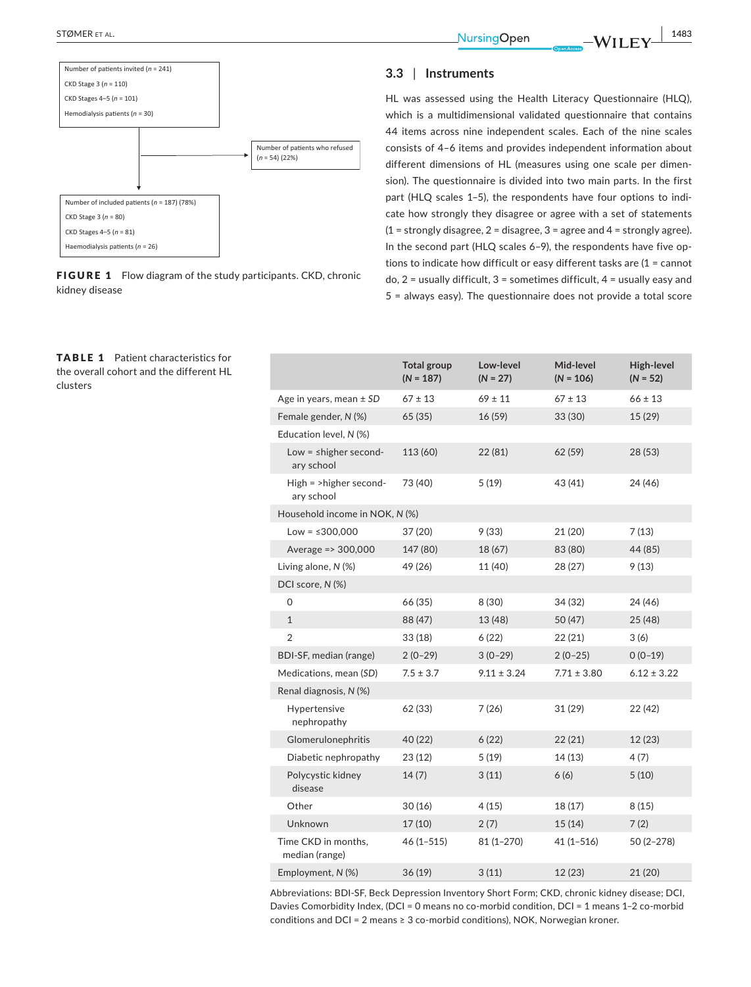

FIGURE 1 Flow diagram of the study participants. CKD, chronic kidney disease

#### TABLE 1 Patient characteristics for the overall cohort and the different HL clusters

Haemodialysis patients (n = 26)

# **3.3** | **Instruments**

HL was assessed using the Health Literacy Questionnaire (HLQ), which is a multidimensional validated questionnaire that contains 44 items across nine independent scales. Each of the nine scales consists of 4–6 items and provides independent information about different dimensions of HL (measures using one scale per dimen‐ sion). The questionnaire is divided into two main parts. In the first part (HLQ scales 1–5), the respondents have four options to indi‐ cate how strongly they disagree or agree with a set of statements  $(1 =$  strongly disagree, 2 = disagree, 3 = agree and 4 = strongly agree). In the second part (HLQ scales 6-9), the respondents have five options to indicate how difficult or easy different tasks are (1 = cannot do,  $2$  = usually difficult,  $3$  = sometimes difficult,  $4$  = usually easy and 5 = always easy). The questionnaire does not provide a total score

|                                           | <b>Total group</b><br>$(N = 187)$ | Low-level<br>$(N = 27)$ | Mid-level<br>$(N = 106)$ | High-level<br>$(N = 52)$ |
|-------------------------------------------|-----------------------------------|-------------------------|--------------------------|--------------------------|
| Age in years, mean $\pm$ SD               | $67 \pm 13$                       | $69 \pm 11$             | $67 \pm 13$              | $66 \pm 13$              |
| Female gender, N (%)                      | 65(35)                            | 16 (59)                 | 33 (30)                  | 15(29)                   |
| Education level, N (%)                    |                                   |                         |                          |                          |
| Low = $\leq$ higher second-<br>ary school | 113 (60)                          | 22 (81)                 | 62 (59)                  | 28 (53)                  |
| High = >higher second-<br>ary school      | 73 (40)                           | 5(19)                   | 43 (41)                  | 24 (46)                  |
| Household income in NOK, N (%)            |                                   |                         |                          |                          |
| $Low = $300,000$                          | 37 (20)                           | 9(33)                   | 21 (20)                  | 7(13)                    |
| Average => 300,000                        | 147 (80)                          | 18 (67)                 | 83 (80)                  | 44 (85)                  |
| Living alone, N (%)                       | 49 (26)                           | 11 (40)                 | 28 (27)                  | 9(13)                    |
| DCI score, N (%)                          |                                   |                         |                          |                          |
| 0                                         | 66 (35)                           | 8 (30)                  | 34 (32)                  | 24 (46)                  |
| $\mathbf{1}$                              | 88 (47)                           | 13 (48)                 | 50 (47)                  | 25(48)                   |
| $\overline{2}$                            | 33(18)                            | 6(22)                   | 22 (21)                  | 3(6)                     |
| BDI-SF, median (range)                    | $2(0-29)$                         | $3(0-29)$               | $2(0-25)$                | $0(0-19)$                |
| Medications, mean (SD)                    | $7.5 \pm 3.7$                     | $9.11 \pm 3.24$         | $7.71 \pm 3.80$          | $6.12 \pm 3.22$          |
| Renal diagnosis, N (%)                    |                                   |                         |                          |                          |
| Hypertensive<br>nephropathy               | 62 (33)                           | 7(26)                   | 31 (29)                  | 22 (42)                  |
| Glomerulonephritis                        | 40 (22)                           | 6(22)                   | 22(21)                   | 12 (23)                  |
| Diabetic nephropathy                      | 23(12)                            | 5(19)                   | 14(13)                   | 4(7)                     |
| Polycystic kidney<br>disease              | 14(7)                             | 3(11)                   | 6(6)                     | 5(10)                    |
| Other                                     | 30(16)                            | 4(15)                   | 18(17)                   | 8(15)                    |
| Unknown                                   | 17(10)                            | 2(7)                    | 15(14)                   | 7(2)                     |
| Time CKD in months,<br>median (range)     | $46(1 - 515)$                     | $81(1 - 270)$           | $41(1 - 516)$            | 50 (2-278)               |
| Employment, N (%)                         | 36 (19)                           | 3(11)                   | 12 (23)                  | 21 (20)                  |

Abbreviations: BDI‐SF, Beck Depression Inventory Short Form; CKD, chronic kidney disease; DCI, Davies Comorbidity Index, (DCI = 0 means no co-morbid condition, DCI = 1 means 1-2 co-morbid conditions and DCI = 2 means  $\geq 3$  co-morbid conditions), NOK, Norwegian kroner.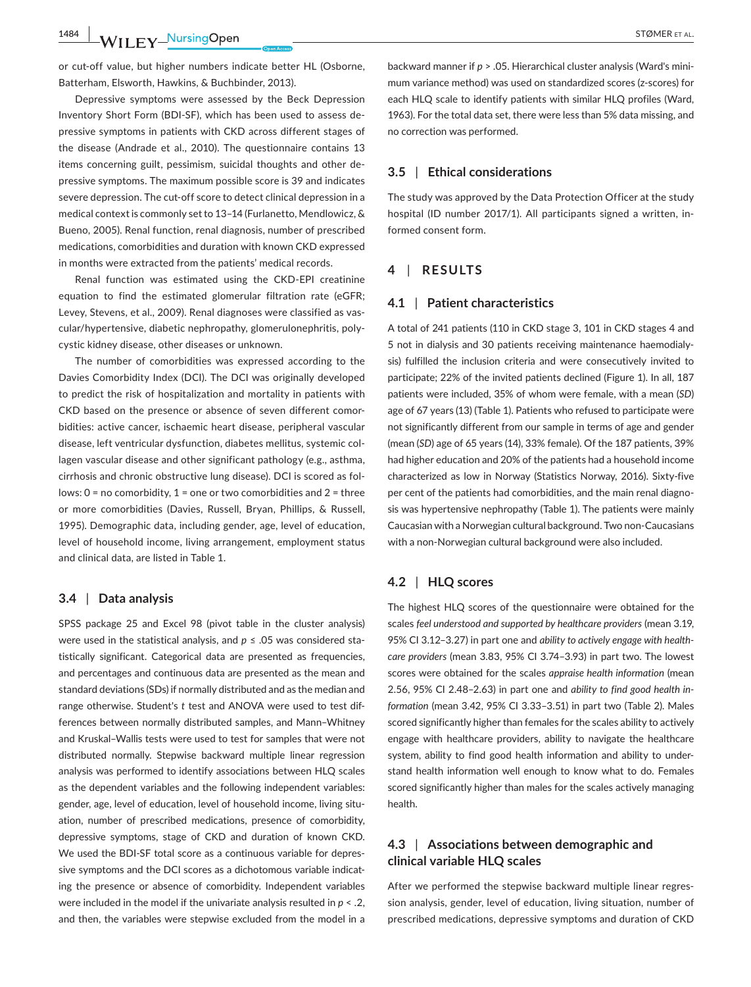**1484 WILEY NursingOpen** STØMER ET AL.

or cut‐off value, but higher numbers indicate better HL (Osborne, Batterham, Elsworth, Hawkins, & Buchbinder, 2013).

Depressive symptoms were assessed by the Beck Depression Inventory Short Form (BDI‐SF), which has been used to assess de‐ pressive symptoms in patients with CKD across different stages of the disease (Andrade et al., 2010). The questionnaire contains 13 items concerning guilt, pessimism, suicidal thoughts and other de‐ pressive symptoms. The maximum possible score is 39 and indicates severe depression. The cut-off score to detect clinical depression in a medical context is commonly set to 13–14 (Furlanetto, Mendlowicz, & Bueno, 2005). Renal function, renal diagnosis, number of prescribed medications, comorbidities and duration with known CKD expressed in months were extracted from the patients' medical records.

Renal function was estimated using the CKD‐EPI creatinine equation to find the estimated glomerular filtration rate (eGFR; Levey, Stevens, et al., 2009). Renal diagnoses were classified as vas‐ cular/hypertensive, diabetic nephropathy, glomerulonephritis, poly‐ cystic kidney disease, other diseases or unknown.

The number of comorbidities was expressed according to the Davies Comorbidity Index (DCI). The DCI was originally developed to predict the risk of hospitalization and mortality in patients with CKD based on the presence or absence of seven different comor‐ bidities: active cancer, ischaemic heart disease, peripheral vascular disease, left ventricular dysfunction, diabetes mellitus, systemic col‐ lagen vascular disease and other significant pathology (e.g., asthma, cirrhosis and chronic obstructive lung disease). DCI is scored as fol‐ lows: 0 = no comorbidity, 1 = one or two comorbidities and 2 = three or more comorbidities (Davies, Russell, Bryan, Phillips, & Russell, 1995). Demographic data, including gender, age, level of education, level of household income, living arrangement, employment status and clinical data, are listed in Table 1.

#### **3.4** | **Data analysis**

SPSS package 25 and Excel 98 (pivot table in the cluster analysis) were used in the statistical analysis, and *p* ≤ .05 was considered statistically significant. Categorical data are presented as frequencies, and percentages and continuous data are presented as the mean and standard deviations (SDs) if normally distributed and as the median and range otherwise. Student's *t* test and ANOVA were used to test dif‐ ferences between normally distributed samples, and Mann–Whitney and Kruskal–Wallis tests were used to test for samples that were not distributed normally. Stepwise backward multiple linear regression analysis was performed to identify associations between HLQ scales as the dependent variables and the following independent variables: gender, age, level of education, level of household income, living situation, number of prescribed medications, presence of comorbidity, depressive symptoms, stage of CKD and duration of known CKD. We used the BDI‐SF total score as a continuous variable for depres‐ sive symptoms and the DCI scores as a dichotomous variable indicating the presence or absence of comorbidity. Independent variables were included in the model if the univariate analysis resulted in *p* < .2, and then, the variables were stepwise excluded from the model in a

backward manner if *p* > .05. Hierarchical cluster analysis (Ward's mini‐ mum variance method) was used on standardized scores (z‐scores) for each HLQ scale to identify patients with similar HLQ profiles (Ward, 1963). For the total data set, there were less than 5% data missing, and no correction was performed.

## **3.5** | **Ethical considerations**

The study was approved by the Data Protection Officer at the study hospital (ID number 2017/1). All participants signed a written, informed consent form.

## **4** | **RESULTS**

#### **4.1** | **Patient characteristics**

A total of 241 patients (110 in CKD stage 3, 101 in CKD stages 4 and 5 not in dialysis and 30 patients receiving maintenance haemodialy‐ sis) fulfilled the inclusion criteria and were consecutively invited to participate; 22% of the invited patients declined (Figure 1). In all, 187 patients were included, 35% of whom were female, with a mean (*SD*) age of 67 years (13) (Table 1). Patients who refused to participate were not significantly different from our sample in terms of age and gender (mean (*SD*) age of 65 years (14), 33% female). Of the 187 patients, 39% had higher education and 20% of the patients had a household income characterized as low in Norway (Statistics Norway, 2016). Sixty‐five per cent of the patients had comorbidities, and the main renal diagnosis was hypertensive nephropathy (Table 1). The patients were mainly Caucasian with a Norwegian cultural background. Two non‐Caucasians with a non‐Norwegian cultural background were also included.

## **4.2** | **HLQ scores**

The highest HLQ scores of the questionnaire were obtained for the scales *feel understood and supported by healthcare providers* (mean 3.19, 95% CI 3.12–3.27) in part one and *ability to actively engage with health‐ care providers* (mean 3.83, 95% CI 3.74–3.93) in part two. The lowest scores were obtained for the scales *appraise health information* (mean 2.56, 95% CI 2.48–2.63) in part one and *ability to find good health in‐ formation* (mean 3.42, 95% CI 3.33–3.51) in part two (Table 2). Males scored significantly higher than females for the scales ability to actively engage with healthcare providers, ability to navigate the healthcare system, ability to find good health information and ability to under‐ stand health information well enough to know what to do. Females scored significantly higher than males for the scales actively managing health.

# **4.3** | **Associations between demographic and clinical variable HLQ scales**

After we performed the stepwise backward multiple linear regres‐ sion analysis, gender, level of education, living situation, number of prescribed medications, depressive symptoms and duration of CKD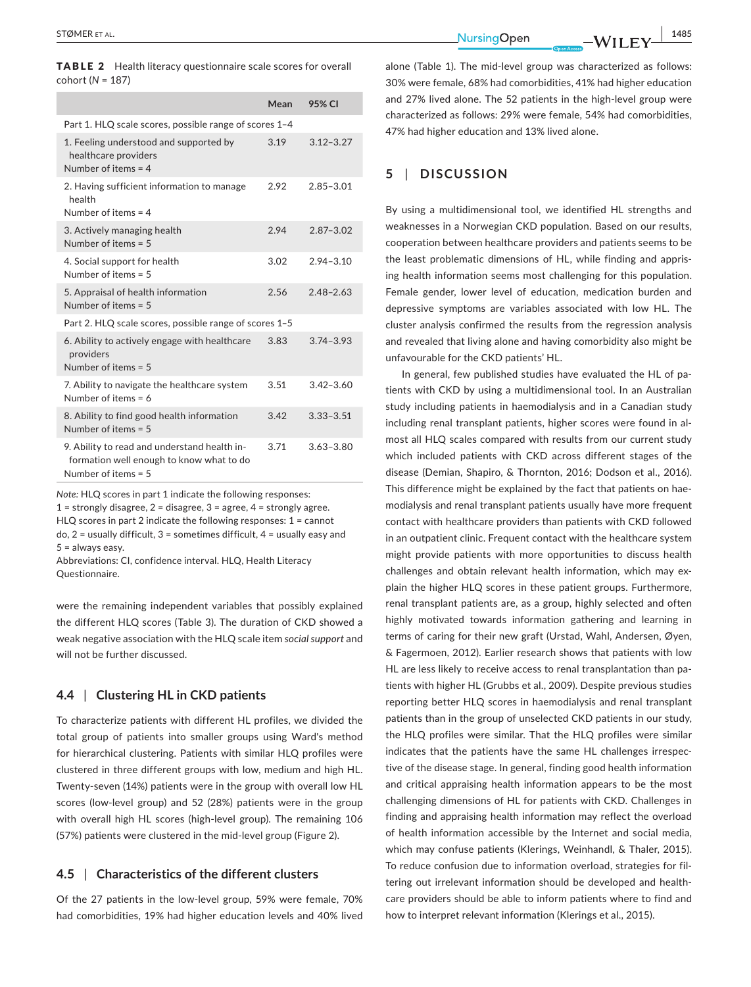|                    | <b>TABLE 2</b> Health literacy questionnaire scale scores for overall |  |
|--------------------|-----------------------------------------------------------------------|--|
| $cohort (N = 187)$ |                                                                       |  |

|                                                                                                                   | Mean | 95% CI        |
|-------------------------------------------------------------------------------------------------------------------|------|---------------|
| Part 1. HLQ scale scores, possible range of scores 1-4                                                            |      |               |
| 1. Feeling understood and supported by<br>healthcare providers<br>Number of items $=$ 4                           | 3.19 | $3.12 - 3.27$ |
| 2. Having sufficient information to manage<br>health<br>Number of items $=$ 4                                     | 2.92 | $2.85 - 3.01$ |
| 3. Actively managing health<br>Number of items $= 5$                                                              | 2.94 | $2.87 - 3.02$ |
| 4. Social support for health<br>Number of items $= 5$                                                             | 3.02 | $2.94 - 3.10$ |
| 5. Appraisal of health information<br>Number of items $= 5$                                                       | 2.56 | $2.48 - 2.63$ |
| Part 2. HLQ scale scores, possible range of scores 1-5                                                            |      |               |
| 6. Ability to actively engage with healthcare<br>providers<br>Number of items $= 5$                               | 3.83 | $3.74 - 3.93$ |
| 7. Ability to navigate the healthcare system<br>Number of items = $6$                                             | 3.51 | $3.42 - 3.60$ |
| 8. Ability to find good health information<br>Number of items $= 5$                                               | 3.42 | $3.33 - 3.51$ |
| 9. Ability to read and understand health in-<br>formation well enough to know what to do<br>Number of items $= 5$ | 3.71 | $3.63 - 3.80$ |

*Note:* HLQ scores in part 1 indicate the following responses:  $1 =$  strongly disagree,  $2 =$  disagree,  $3 =$  agree,  $4 =$  strongly agree. HLQ scores in part 2 indicate the following responses: 1 = cannot do,  $2$  = usually difficult,  $3$  = sometimes difficult,  $4$  = usually easy and 5 = always easy.

Abbreviations: CI, confidence interval. HLQ, Health Literacy Questionnaire.

were the remaining independent variables that possibly explained the different HLQ scores (Table 3). The duration of CKD showed a weak negative association with the HLQ scale item *social support* and will not be further discussed.

## **4.4** | **Clustering HL in CKD patients**

To characterize patients with different HL profiles, we divided the total group of patients into smaller groups using Ward's method for hierarchical clustering. Patients with similar HLQ profiles were clustered in three different groups with low, medium and high HL. Twenty‐seven (14%) patients were in the group with overall low HL scores (low-level group) and 52 (28%) patients were in the group with overall high HL scores (high-level group). The remaining 106 (57%) patients were clustered in the mid‐level group (Figure 2).

#### **4.5** | **Characteristics of the different clusters**

Of the 27 patients in the low‐level group, 59% were female, 70% had comorbidities, 19% had higher education levels and 40% lived alone (Table 1). The mid-level group was characterized as follows: 30% were female, 68% had comorbidities, 41% had higher education and 27% lived alone. The 52 patients in the high‐level group were characterized as follows: 29% were female, 54% had comorbidities, 47% had higher education and 13% lived alone.

## **5** | **DISCUSSION**

By using a multidimensional tool, we identified HL strengths and weaknesses in a Norwegian CKD population. Based on our results, cooperation between healthcare providers and patients seems to be the least problematic dimensions of HL, while finding and appris‐ ing health information seems most challenging for this population. Female gender, lower level of education, medication burden and depressive symptoms are variables associated with low HL. The cluster analysis confirmed the results from the regression analysis and revealed that living alone and having comorbidity also might be unfavourable for the CKD patients' HL.

In general, few published studies have evaluated the HL of pa‐ tients with CKD by using a multidimensional tool. In an Australian study including patients in haemodialysis and in a Canadian study including renal transplant patients, higher scores were found in al‐ most all HLQ scales compared with results from our current study which included patients with CKD across different stages of the disease (Demian, Shapiro, & Thornton, 2016; Dodson et al., 2016). This difference might be explained by the fact that patients on hae‐ modialysis and renal transplant patients usually have more frequent contact with healthcare providers than patients with CKD followed in an outpatient clinic. Frequent contact with the healthcare system might provide patients with more opportunities to discuss health challenges and obtain relevant health information, which may explain the higher HLQ scores in these patient groups. Furthermore, renal transplant patients are, as a group, highly selected and often highly motivated towards information gathering and learning in terms of caring for their new graft (Urstad, Wahl, Andersen, Øyen, & Fagermoen, 2012). Earlier research shows that patients with low HL are less likely to receive access to renal transplantation than pa‐ tients with higher HL (Grubbs et al., 2009). Despite previous studies reporting better HLQ scores in haemodialysis and renal transplant patients than in the group of unselected CKD patients in our study, the HLQ profiles were similar. That the HLQ profiles were similar indicates that the patients have the same HL challenges irrespec‐ tive of the disease stage. In general, finding good health information and critical appraising health information appears to be the most challenging dimensions of HL for patients with CKD. Challenges in finding and appraising health information may reflect the overload of health information accessible by the Internet and social media, which may confuse patients (Klerings, Weinhandl, & Thaler, 2015). To reduce confusion due to information overload, strategies for fil‐ tering out irrelevant information should be developed and health‐ care providers should be able to inform patients where to find and how to interpret relevant information (Klerings et al., 2015).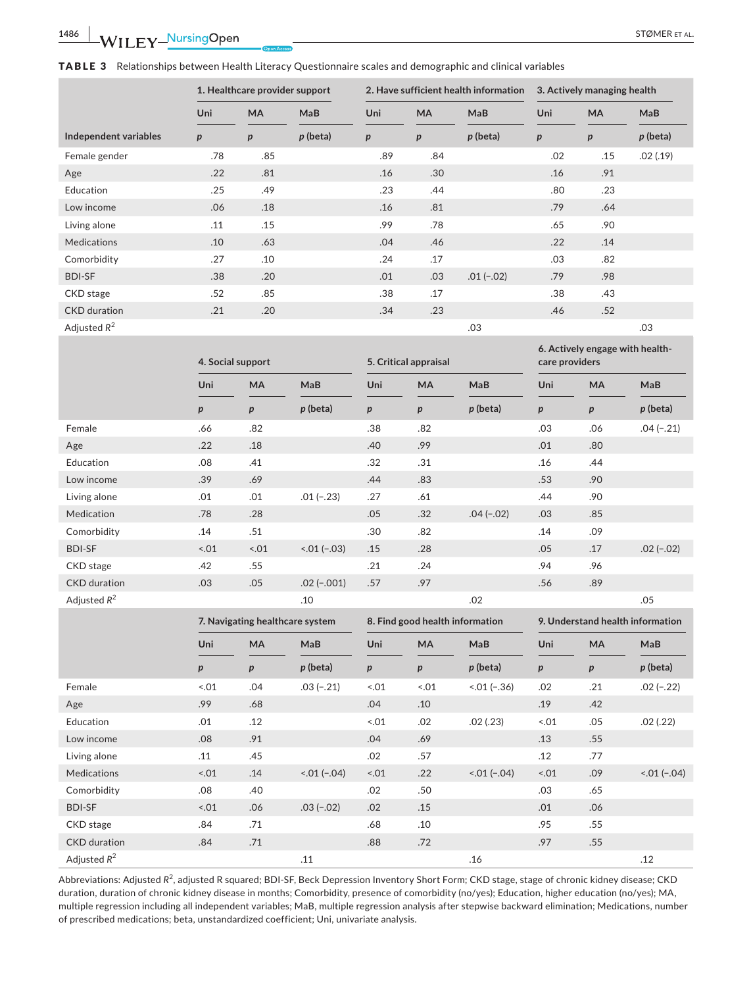**6. Actively engage with health‐**

|  |  |  | ${\sf TABLE}$ ${\sf 3}$ $\;$ Relationships between Health Literacy Questionnaire scales and demographic and clinical variables |  |  |
|--|--|--|--------------------------------------------------------------------------------------------------------------------------------|--|--|
|--|--|--|--------------------------------------------------------------------------------------------------------------------------------|--|--|

|                       | 1. Healthcare provider support |                  | 2. Have sufficient health information |                  |                  | 3. Actively managing health |     |           |            |
|-----------------------|--------------------------------|------------------|---------------------------------------|------------------|------------------|-----------------------------|-----|-----------|------------|
|                       | Uni                            | <b>MA</b>        | MaB                                   | Uni              | <b>MA</b>        | MaB                         | Uni | <b>MA</b> | MaB        |
| Independent variables | p                              | $\boldsymbol{p}$ | $p$ (beta)                            | $\boldsymbol{p}$ | $\boldsymbol{p}$ | $p$ (beta)                  | p   | р         | $p$ (beta) |
| Female gender         | .78                            | .85              |                                       | .89              | .84              |                             | .02 | .15       | .02(.19)   |
| Age                   | .22                            | .81              |                                       | .16              | .30              |                             | .16 | .91       |            |
| Education             | .25                            | .49              |                                       | .23              | .44              |                             | .80 | .23       |            |
| Low income            | .06                            | .18              |                                       | .16              | .81              |                             | .79 | .64       |            |
| Living alone          | .11                            | .15              |                                       | .99              | .78              |                             | .65 | .90       |            |
| <b>Medications</b>    | .10                            | .63              |                                       | .04              | .46              |                             | .22 | .14       |            |
| Comorbidity           | .27                            | .10              |                                       | .24              | .17              |                             | .03 | .82       |            |
| <b>BDI-SF</b>         | .38                            | .20              |                                       | .01              | .03              | $.01(-.02)$                 | .79 | .98       |            |
| CKD stage             | .52                            | .85              |                                       | .38              | .17              |                             | .38 | .43       |            |
| <b>CKD</b> duration   | .21                            | .20              |                                       | .34              | .23              |                             | .46 | .52       |            |
| Adjusted $R^2$        |                                |                  |                                       |                  |                  | .03                         |     |           | .03        |

|                     | 4. Social support               |        | 5. Critical appraisal |                  |                                 | $\sim$ . Actively engage with nearm<br>care providers |                  |                  |                                  |
|---------------------|---------------------------------|--------|-----------------------|------------------|---------------------------------|-------------------------------------------------------|------------------|------------------|----------------------------------|
|                     | Uni                             | MA     | MaB                   | Uni              | MA                              | MaB                                                   | Uni              | MA               | MaB                              |
|                     | p                               | p      | $p$ (beta)            | p                | $\boldsymbol{p}$                | $p$ (beta)                                            | $\boldsymbol{p}$ | $\boldsymbol{p}$ | $p$ (beta)                       |
| Female              | .66                             | .82    |                       | .38              | .82                             |                                                       | .03              | .06              | $.04 (-.21)$                     |
| Age                 | .22                             | .18    |                       | .40              | .99                             |                                                       | .01              | .80              |                                  |
| Education           | .08                             | .41    |                       | .32              | .31                             |                                                       | .16              | .44              |                                  |
| Low income          | .39                             | .69    |                       | .44              | .83                             |                                                       | .53              | .90              |                                  |
| Living alone        | .01                             | .01    | $.01(-.23)$           | .27              | .61                             |                                                       | .44              | .90              |                                  |
| Medication          | .78                             | .28    |                       | .05              | .32                             | $.04 (-.02)$                                          | .03              | .85              |                                  |
| Comorbidity         | .14                             | .51    |                       | .30              | .82                             |                                                       | .14              | .09              |                                  |
| <b>BDI-SF</b>       | $-.01$                          | $-.01$ | $0.01 (-.03)$         | .15              | .28                             |                                                       | .05              | .17              | $.02 (-.02)$                     |
| CKD stage           | .42                             | .55    |                       | .21              | .24                             |                                                       | .94              | .96              |                                  |
| <b>CKD</b> duration | .03                             | .05    | $.02 (-.001)$         | .57              | .97                             |                                                       | .56              | .89              |                                  |
| Adjusted $R^2$      |                                 |        | .10                   |                  |                                 | .02                                                   |                  |                  | .05                              |
|                     | 7. Navigating healthcare system |        |                       |                  |                                 |                                                       |                  |                  |                                  |
|                     |                                 |        |                       |                  | 8. Find good health information |                                                       |                  |                  | 9. Understand health information |
|                     | Uni                             | MA     | MaB                   | Uni              | MA                              | MaB                                                   | Uni              | <b>MA</b>        | MaB                              |
|                     | p                               | p      | $p$ (beta)            | $\boldsymbol{p}$ | $\boldsymbol{p}$                | $p$ (beta)                                            | p                | p                | $p$ (beta)                       |
| Female              | $-.01$                          | .04    | $.03(-.21)$           | 5.01             | 0.01                            | $0.01 (-36)$                                          | .02              | .21              | $.02(-.22)$                      |
| Age                 | .99                             | .68    |                       | .04              | .10                             |                                                       | .19              | .42              |                                  |
| Education           | .01                             | .12    |                       | $-.01$           | .02                             | .02(.23)                                              | $-.01$           | .05              | .02(.22)                         |
| Low income          | .08                             | .91    |                       | .04              | .69                             |                                                       | .13              | .55              |                                  |
| Living alone        | .11                             | .45    |                       | .02              | .57                             |                                                       | .12              | .77              |                                  |
| <b>Medications</b>  | 3.01                            | .14    | $0.01 (-0.04)$        | 3.01             | .22                             | $0.01 (-0.04)$                                        | $1 - .01$        | .09              | $0.01 (-0.04)$                   |
| Comorbidity         | .08                             | .40    |                       | .02              | .50                             |                                                       | .03              | .65              |                                  |
| <b>BDI-SF</b>       | 3.01                            | .06    | $.03(-.02)$           | .02              | .15                             |                                                       | .01              | .06              |                                  |
| CKD stage           | .84                             | .71    |                       | .68              | .10                             |                                                       | .95              | .55              |                                  |
| <b>CKD</b> duration | .84                             | .71    |                       | .88              | .72                             |                                                       | .97              | .55              |                                  |

Abbreviations: Adjusted R<sup>2</sup>, adjusted R squared; BDI-SF, Beck Depression Inventory Short Form; CKD stage, stage of chronic kidney disease; CKD duration, duration of chronic kidney disease in months; Comorbidity, presence of comorbidity (no/yes); Education, higher education (no/yes); MA, multiple regression including all independent variables; MaB, multiple regression analysis after stepwise backward elimination; Medications, number of prescribed medications; beta, unstandardized coefficient; Uni, univariate analysis.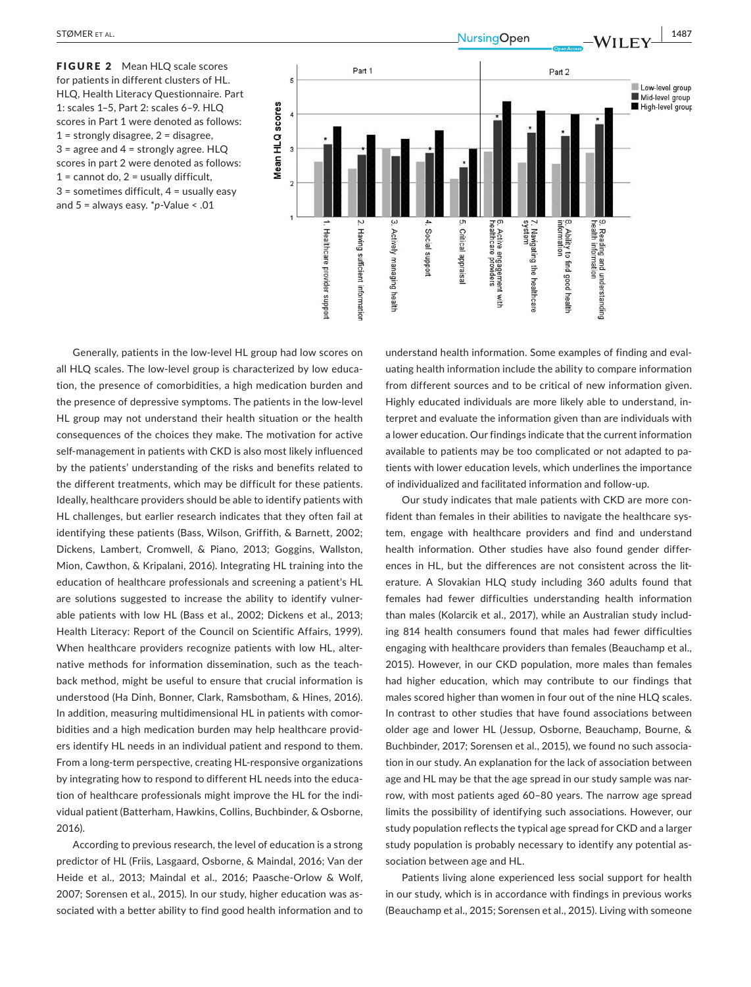FIGURE 2 Mean HLO scale scores for patients in different clusters of HL. HLQ, Health Literacy Questionnaire. Part 1: scales 1–5, Part 2: scales 6–9. HLQ scores in Part 1 were denoted as follows:  $1 =$  strongly disagree,  $2 =$  disagree, 3 = agree and 4 = strongly agree. HLQ scores in part 2 were denoted as follows:  $1 =$  cannot do,  $2 =$  usually difficult,  $3 =$  sometimes difficult,  $4 =$  usually easy and 5 = always easy. \**p*‐Value < .01



Generally, patients in the low‐level HL group had low scores on all HLQ scales. The low-level group is characterized by low education, the presence of comorbidities, a high medication burden and the presence of depressive symptoms. The patients in the low‐level HL group may not understand their health situation or the health consequences of the choices they make. The motivation for active self-management in patients with CKD is also most likely influenced by the patients' understanding of the risks and benefits related to the different treatments, which may be difficult for these patients. Ideally, healthcare providers should be able to identify patients with HL challenges, but earlier research indicates that they often fail at identifying these patients (Bass, Wilson, Griffith, & Barnett, 2002; Dickens, Lambert, Cromwell, & Piano, 2013; Goggins, Wallston, Mion, Cawthon, & Kripalani, 2016). Integrating HL training into the education of healthcare professionals and screening a patient's HL are solutions suggested to increase the ability to identify vulner‐ able patients with low HL (Bass et al., 2002; Dickens et al., 2013; Health Literacy: Report of the Council on Scientific Affairs, 1999). When healthcare providers recognize patients with low HL, alternative methods for information dissemination, such as the teach‐ back method, might be useful to ensure that crucial information is understood (Ha Dinh, Bonner, Clark, Ramsbotham, & Hines, 2016). In addition, measuring multidimensional HL in patients with comorbidities and a high medication burden may help healthcare provid‐ ers identify HL needs in an individual patient and respond to them. From a long‐term perspective, creating HL‐responsive organizations by integrating how to respond to different HL needs into the educa‐ tion of healthcare professionals might improve the HL for the indi‐ vidual patient (Batterham, Hawkins, Collins, Buchbinder, & Osborne, 2016).

According to previous research, the level of education is a strong predictor of HL (Friis, Lasgaard, Osborne, & Maindal, 2016; Van der Heide et al., 2013; Maindal et al., 2016; Paasche‐Orlow & Wolf, 2007; Sorensen et al., 2015). In our study, higher education was as‐ sociated with a better ability to find good health information and to

understand health information. Some examples of finding and eval‐ uating health information include the ability to compare information from different sources and to be critical of new information given. Highly educated individuals are more likely able to understand, in‐ terpret and evaluate the information given than are individuals with a lower education. Our findings indicate that the current information available to patients may be too complicated or not adapted to pa‐ tients with lower education levels, which underlines the importance of individualized and facilitated information and follow‐up.

Our study indicates that male patients with CKD are more con‐ fident than females in their abilities to navigate the healthcare system, engage with healthcare providers and find and understand health information. Other studies have also found gender differences in HL, but the differences are not consistent across the literature. A Slovakian HLQ study including 360 adults found that females had fewer difficulties understanding health information than males (Kolarcik et al., 2017), while an Australian study includ‐ ing 814 health consumers found that males had fewer difficulties engaging with healthcare providers than females (Beauchamp et al., 2015). However, in our CKD population, more males than females had higher education, which may contribute to our findings that males scored higher than women in four out of the nine HLQ scales. In contrast to other studies that have found associations between older age and lower HL (Jessup, Osborne, Beauchamp, Bourne, & Buchbinder, 2017; Sorensen et al., 2015), we found no such associa‐ tion in our study. An explanation for the lack of association between age and HL may be that the age spread in our study sample was narrow, with most patients aged 60–80 years. The narrow age spread limits the possibility of identifying such associations. However, our study population reflects the typical age spread for CKD and a larger study population is probably necessary to identify any potential as‐ sociation between age and HL.

Patients living alone experienced less social support for health in our study, which is in accordance with findings in previous works (Beauchamp et al., 2015; Sorensen et al., 2015). Living with someone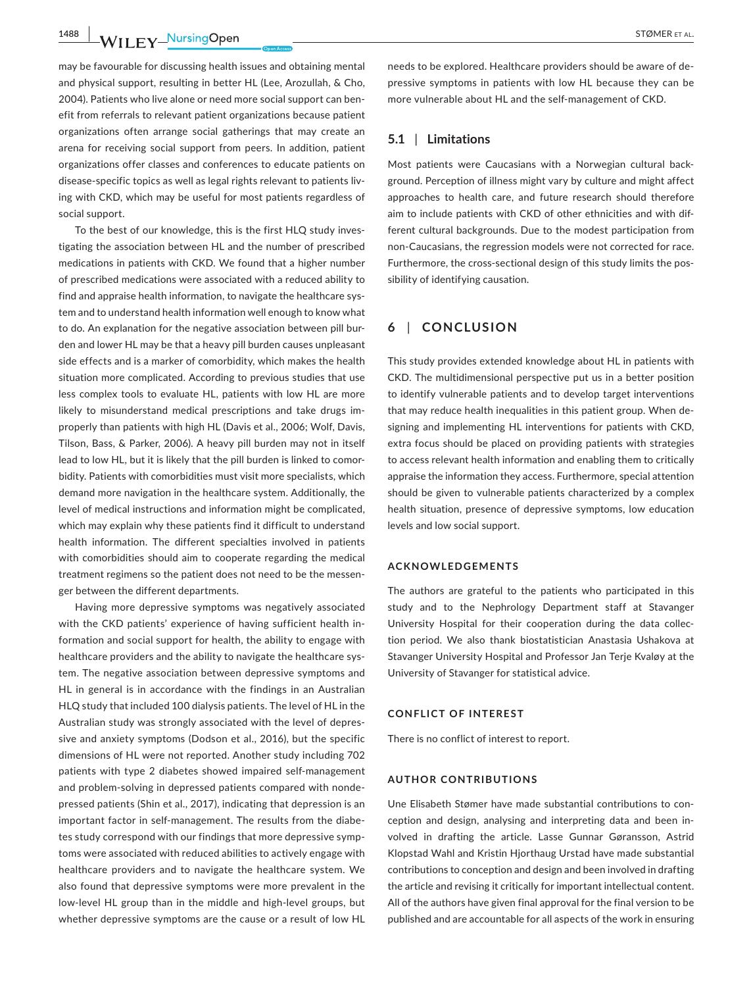**1488 WILEY NUISING OPEN CONSUMER ET AL.** 

may be favourable for discussing health issues and obtaining mental and physical support, resulting in better HL (Lee, Arozullah, & Cho, 2004). Patients who live alone or need more social support can ben‐ efit from referrals to relevant patient organizations because patient organizations often arrange social gatherings that may create an arena for receiving social support from peers. In addition, patient organizations offer classes and conferences to educate patients on disease‐specific topics as well as legal rights relevant to patients liv‐ ing with CKD, which may be useful for most patients regardless of social support.

To the best of our knowledge, this is the first HLQ study inves‐ tigating the association between HL and the number of prescribed medications in patients with CKD. We found that a higher number of prescribed medications were associated with a reduced ability to find and appraise health information, to navigate the healthcare system and to understand health information well enough to know what to do. An explanation for the negative association between pill burden and lower HL may be that a heavy pill burden causes unpleasant side effects and is a marker of comorbidity, which makes the health situation more complicated. According to previous studies that use less complex tools to evaluate HL, patients with low HL are more likely to misunderstand medical prescriptions and take drugs im‐ properly than patients with high HL (Davis et al., 2006; Wolf, Davis, Tilson, Bass, & Parker, 2006). A heavy pill burden may not in itself lead to low HL, but it is likely that the pill burden is linked to comor‐ bidity. Patients with comorbidities must visit more specialists, which demand more navigation in the healthcare system. Additionally, the level of medical instructions and information might be complicated, which may explain why these patients find it difficult to understand health information. The different specialties involved in patients with comorbidities should aim to cooperate regarding the medical treatment regimens so the patient does not need to be the messen‐ ger between the different departments.

Having more depressive symptoms was negatively associated with the CKD patients' experience of having sufficient health in‐ formation and social support for health, the ability to engage with healthcare providers and the ability to navigate the healthcare system. The negative association between depressive symptoms and HL in general is in accordance with the findings in an Australian HLQ study that included 100 dialysis patients. The level of HL in the Australian study was strongly associated with the level of depres‐ sive and anxiety symptoms (Dodson et al., 2016), but the specific dimensions of HL were not reported. Another study including 702 patients with type 2 diabetes showed impaired self-management and problem‐solving in depressed patients compared with nonde‐ pressed patients (Shin et al., 2017), indicating that depression is an important factor in self-management. The results from the diabetes study correspond with our findings that more depressive symp‐ toms were associated with reduced abilities to actively engage with healthcare providers and to navigate the healthcare system. We also found that depressive symptoms were more prevalent in the low‐level HL group than in the middle and high‐level groups, but whether depressive symptoms are the cause or a result of low HL

needs to be explored. Healthcare providers should be aware of de‐ pressive symptoms in patients with low HL because they can be more vulnerable about HL and the self‐management of CKD.

#### **5.1** | **Limitations**

Most patients were Caucasians with a Norwegian cultural back‐ ground. Perception of illness might vary by culture and might affect approaches to health care, and future research should therefore aim to include patients with CKD of other ethnicities and with dif‐ ferent cultural backgrounds. Due to the modest participation from non‐Caucasians, the regression models were not corrected for race. Furthermore, the cross-sectional design of this study limits the possibility of identifying causation.

## **6** | **CONCLUSION**

This study provides extended knowledge about HL in patients with CKD. The multidimensional perspective put us in a better position to identify vulnerable patients and to develop target interventions that may reduce health inequalities in this patient group. When de‐ signing and implementing HL interventions for patients with CKD, extra focus should be placed on providing patients with strategies to access relevant health information and enabling them to critically appraise the information they access. Furthermore, special attention should be given to vulnerable patients characterized by a complex health situation, presence of depressive symptoms, low education levels and low social support.

#### **ACKNOWLEDGEMENTS**

The authors are grateful to the patients who participated in this study and to the Nephrology Department staff at Stavanger University Hospital for their cooperation during the data collec‐ tion period. We also thank biostatistician Anastasia Ushakova at Stavanger University Hospital and Professor Jan Terje Kvaløy at the University of Stavanger for statistical advice.

#### **CONFLICT OF INTEREST**

There is no conflict of interest to report.

## **AUTHOR CONTRIBUTIONS**

Une Elisabeth Stømer have made substantial contributions to con‐ ception and design, analysing and interpreting data and been in‐ volved in drafting the article. Lasse Gunnar Gøransson, Astrid Klopstad Wahl and Kristin Hjorthaug Urstad have made substantial contributions to conception and design and been involved in drafting the article and revising it critically for important intellectual content. All of the authors have given final approval for the final version to be published and are accountable for all aspects of the work in ensuring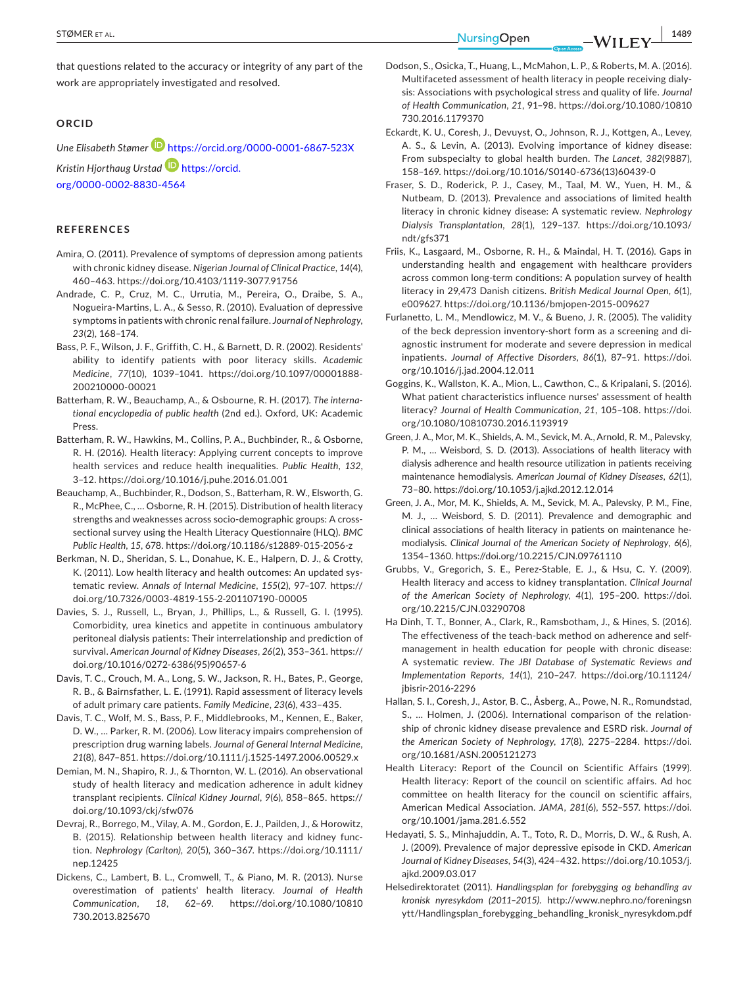**|** STØMER et al. **1489**

that questions related to the accuracy or integrity of any part of the work are appropriately investigated and resolved.

#### **ORCID**

*Une Elisabeth Stømer* <https://orcid.org/0000-0001-6867-523X> *Kristin Hjorthaug Urstad* [https://orcid.](https://orcid.org/0000-0002-8830-4564) [org/0000-0002-8830-4564](https://orcid.org/0000-0002-8830-4564)

#### **REFERENCES**

- Amira, O. (2011). Prevalence of symptoms of depression among patients with chronic kidney disease. *Nigerian Journal of Clinical Practice*, *14*(4), 460–463.<https://doi.org/10.4103/1119-3077.91756>
- Andrade, C. P., Cruz, M. C., Urrutia, M., Pereira, O., Draibe, S. A., Nogueira‐Martins, L. A., & Sesso, R. (2010). Evaluation of depressive symptoms in patients with chronic renal failure. *Journal of Nephrology*, *23*(2), 168–174.
- Bass, P. F., Wilson, J. F., Griffith, C. H., & Barnett, D. R. (2002). Residents' ability to identify patients with poor literacy skills. *Academic Medicine*, *77*(10), 1039–1041. [https://doi.org/10.1097/00001888-](https://doi.org/10.1097/00001888-200210000-00021)[200210000-00021](https://doi.org/10.1097/00001888-200210000-00021)
- Batterham, R. W., Beauchamp, A., & Osbourne, R. H. (2017). *The interna‐ tional encyclopedia of public health* (2nd ed.). Oxford, UK: Academic Press.
- Batterham, R. W., Hawkins, M., Collins, P. A., Buchbinder, R., & Osborne, R. H. (2016). Health literacy: Applying current concepts to improve health services and reduce health inequalities. *Public Health*, *132*, 3–12.<https://doi.org/10.1016/j.puhe.2016.01.001>
- Beauchamp, A., Buchbinder, R., Dodson, S., Batterham, R. W., Elsworth, G. R., McPhee, C., … Osborne, R. H. (2015). Distribution of health literacy strengths and weaknesses across socio‐demographic groups: A cross‐ sectional survey using the Health Literacy Questionnaire (HLQ). *BMC Public Health*, *15*, 678. <https://doi.org/10.1186/s12889-015-2056-z>
- Berkman, N. D., Sheridan, S. L., Donahue, K. E., Halpern, D. J., & Crotty, K. (2011). Low health literacy and health outcomes: An updated sys‐ tematic review. *Annals of Internal Medicine*, *155*(2), 97–107. [https://](https://doi.org/10.7326/0003-4819-155-2-201107190-00005) [doi.org/10.7326/0003-4819-155-2-201107190-00005](https://doi.org/10.7326/0003-4819-155-2-201107190-00005)
- Davies, S. J., Russell, L., Bryan, J., Phillips, L., & Russell, G. I. (1995). Comorbidity, urea kinetics and appetite in continuous ambulatory peritoneal dialysis patients: Their interrelationship and prediction of survival. *American Journal of Kidney Diseases*, *26*(2), 353–361. [https://](https://doi.org/10.1016/0272-6386(95)90657-6) [doi.org/10.1016/0272-6386\(95\)90657-6](https://doi.org/10.1016/0272-6386(95)90657-6)
- Davis, T. C., Crouch, M. A., Long, S. W., Jackson, R. H., Bates, P., George, R. B., & Bairnsfather, L. E. (1991). Rapid assessment of literacy levels of adult primary care patients. *Family Medicine*, *23*(6), 433–435.
- Davis, T. C., Wolf, M. S., Bass, P. F., Middlebrooks, M., Kennen, E., Baker, D. W., … Parker, R. M. (2006). Low literacy impairs comprehension of prescription drug warning labels. *Journal of General Internal Medicine*, *21*(8), 847–851. <https://doi.org/10.1111/j.1525-1497.2006.00529.x>
- Demian, M. N., Shapiro, R. J., & Thornton, W. L. (2016). An observational study of health literacy and medication adherence in adult kidney transplant recipients. *Clinical Kidney Journal*, *9*(6), 858–865. [https://](https://doi.org/10.1093/ckj/sfw076) [doi.org/10.1093/ckj/sfw076](https://doi.org/10.1093/ckj/sfw076)
- Devraj, R., Borrego, M., Vilay, A. M., Gordon, E. J., Pailden, J., & Horowitz, B. (2015). Relationship between health literacy and kidney function. *Nephrology (Carlton)*, *20*(5), 360–367. [https://doi.org/10.1111/](https://doi.org/10.1111/nep.12425) [nep.12425](https://doi.org/10.1111/nep.12425)
- Dickens, C., Lambert, B. L., Cromwell, T., & Piano, M. R. (2013). Nurse overestimation of patients' health literacy. *Journal of Health Communication*, *18*, 62–69. [https://doi.org/10.1080/10810](https://doi.org/10.1080/10810730.2013.825670) [730.2013.825670](https://doi.org/10.1080/10810730.2013.825670)
- Dodson, S., Osicka, T., Huang, L., McMahon, L. P., & Roberts, M. A. (2016). Multifaceted assessment of health literacy in people receiving dialy‐ sis: Associations with psychological stress and quality of life. *Journal of Health Communication*, *21*, 91–98. [https://doi.org/10.1080/10810](https://doi.org/10.1080/10810730.2016.1179370) [730.2016.1179370](https://doi.org/10.1080/10810730.2016.1179370)
- Eckardt, K. U., Coresh, J., Devuyst, O., Johnson, R. J., Kottgen, A., Levey, A. S., & Levin, A. (2013). Evolving importance of kidney disease: From subspecialty to global health burden. *The Lancet*, *382*(9887), 158–169. [https://doi.org/10.1016/S0140-6736\(13\)60439-0](https://doi.org/10.1016/S0140-6736(13)60439-0)
- Fraser, S. D., Roderick, P. J., Casey, M., Taal, M. W., Yuen, H. M., & Nutbeam, D. (2013). Prevalence and associations of limited health literacy in chronic kidney disease: A systematic review. *Nephrology Dialysis Transplantation*, *28*(1), 129–137. [https://doi.org/10.1093/](https://doi.org/10.1093/ndt/gfs371) [ndt/gfs371](https://doi.org/10.1093/ndt/gfs371)
- Friis, K., Lasgaard, M., Osborne, R. H., & Maindal, H. T. (2016). Gaps in understanding health and engagement with healthcare providers across common long‐term conditions: A population survey of health literacy in 29,473 Danish citizens. *British Medical Journal Open*, *6*(1), e009627. <https://doi.org/10.1136/bmjopen-2015-009627>
- Furlanetto, L. M., Mendlowicz, M. V., & Bueno, J. R. (2005). The validity of the beck depression inventory‐short form as a screening and di‐ agnostic instrument for moderate and severe depression in medical inpatients. *Journal of Affective Disorders*, *86*(1), 87–91. [https://doi.](https://doi.org/10.1016/j.jad.2004.12.011) [org/10.1016/j.jad.2004.12.011](https://doi.org/10.1016/j.jad.2004.12.011)
- Goggins, K., Wallston, K. A., Mion, L., Cawthon, C., & Kripalani, S. (2016). What patient characteristics influence nurses' assessment of health literacy? *Journal of Health Communication*, *21*, 105–108. [https://doi.](https://doi.org/10.1080/10810730.2016.1193919) [org/10.1080/10810730.2016.1193919](https://doi.org/10.1080/10810730.2016.1193919)
- Green, J. A., Mor, M. K., Shields, A. M., Sevick, M. A., Arnold, R. M., Palevsky, P. M., … Weisbord, S. D. (2013). Associations of health literacy with dialysis adherence and health resource utilization in patients receiving maintenance hemodialysis. *American Journal of Kidney Diseases*, *62*(1), 73–80.<https://doi.org/10.1053/j.ajkd.2012.12.014>
- Green, J. A., Mor, M. K., Shields, A. M., Sevick, M. A., Palevsky, P. M., Fine, M. J., … Weisbord, S. D. (2011). Prevalence and demographic and clinical associations of health literacy in patients on maintenance he‐ modialysis. *Clinical Journal of the American Society of Nephrology*, *6*(6), 1354–1360. <https://doi.org/10.2215/CJN.09761110>
- Grubbs, V., Gregorich, S. E., Perez‐Stable, E. J., & Hsu, C. Y. (2009). Health literacy and access to kidney transplantation. *Clinical Journal of the American Society of Nephrology*, *4*(1), 195–200. [https://doi.](https://doi.org/10.2215/CJN.03290708) [org/10.2215/CJN.03290708](https://doi.org/10.2215/CJN.03290708)
- Ha Dinh, T. T., Bonner, A., Clark, R., Ramsbotham, J., & Hines, S. (2016). The effectiveness of the teach-back method on adherence and selfmanagement in health education for people with chronic disease: A systematic review. *The JBI Database of Systematic Reviews and Implementation Reports*, *14*(1), 210–247. [https://doi.org/10.11124/](https://doi.org/10.11124/jbisrir-2016-2296) [jbisrir-2016-2296](https://doi.org/10.11124/jbisrir-2016-2296)
- Hallan, S. I., Coresh, J., Astor, B. C., Åsberg, A., Powe, N. R., Romundstad, S., … Holmen, J. (2006). International comparison of the relation‐ ship of chronic kidney disease prevalence and ESRD risk. *Journal of the American Society of Nephrology*, *17*(8), 2275–2284. [https://doi.](https://doi.org/10.1681/ASN.2005121273) [org/10.1681/ASN.2005121273](https://doi.org/10.1681/ASN.2005121273)
- Health Literacy: Report of the Council on Scientific Affairs (1999). Health literacy: Report of the council on scientific affairs. Ad hoc committee on health literacy for the council on scientific affairs, American Medical Association. *JAMA*, *281*(6), 552–557. [https://doi.](https://doi.org/10.1001/jama.281.6.552) [org/10.1001/jama.281.6.552](https://doi.org/10.1001/jama.281.6.552)
- Hedayati, S. S., Minhajuddin, A. T., Toto, R. D., Morris, D. W., & Rush, A. J. (2009). Prevalence of major depressive episode in CKD. *American Journal of Kidney Diseases*, *54*(3), 424–432. [https://doi.org/10.1053/j.](https://doi.org/10.1053/j.ajkd.2009.03.017) [ajkd.2009.03.017](https://doi.org/10.1053/j.ajkd.2009.03.017)
- Helsedirektoratet (2011). *Handlingsplan for forebygging og behandling av kronisk nyresykdom (2011–2015)*. [http://www.nephro.no/foreningsn](http://www.nephro.no/foreningsnytt/Handlingsplan_forebygging_behandling_kronisk_nyresykdom.pdf) [ytt/Handlingsplan\\_forebygging\\_behandling\\_kronisk\\_nyresykdom.pdf](http://www.nephro.no/foreningsnytt/Handlingsplan_forebygging_behandling_kronisk_nyresykdom.pdf)